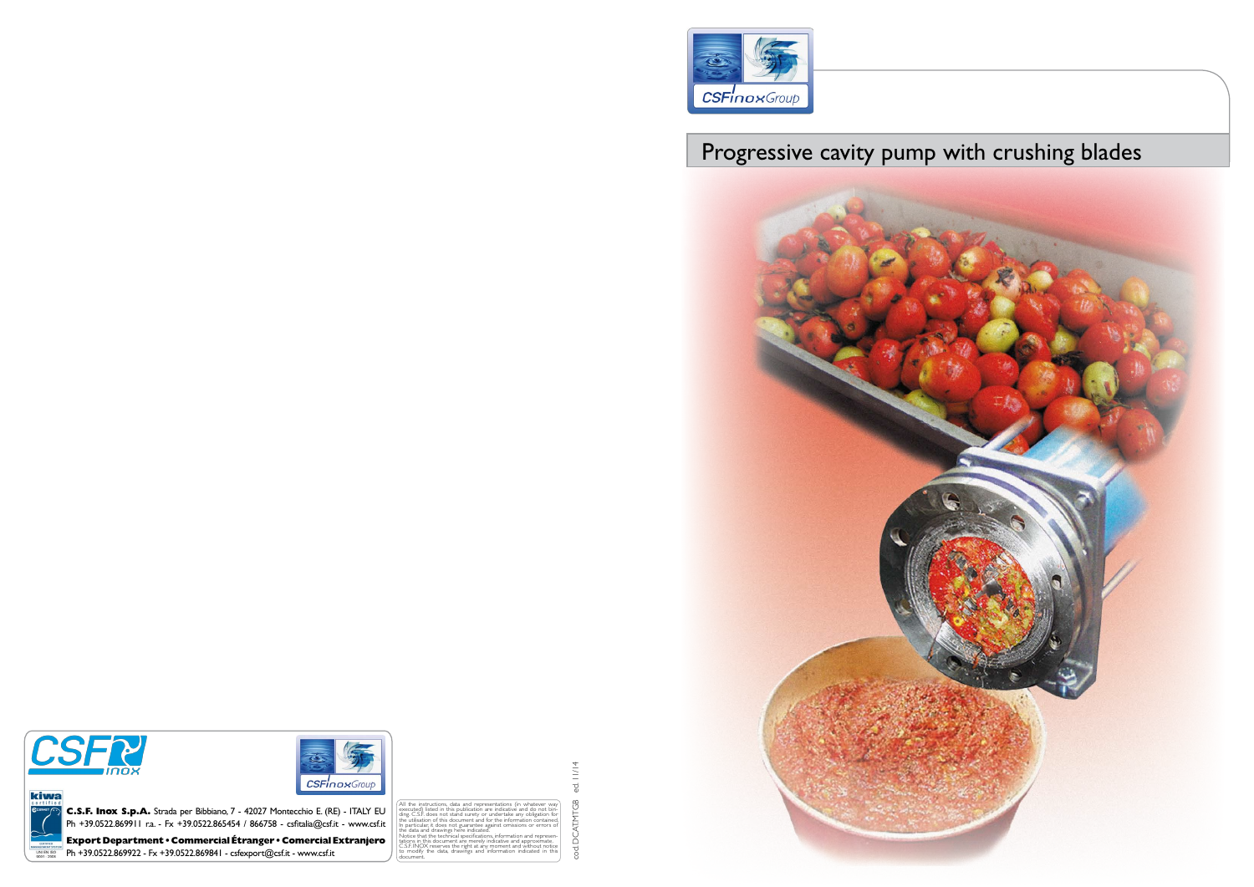

# Progressive cavity pump with crushing blades



kiwa



All the instructions, data and representations (in whatever way<br>executed) listed in this publication are indicative and do not bin-<br>ding. C.S.F. does not stand surety or undertake any obligation for<br>the utilisation of this In particular, it does not guarantee against omissions or errors of the data and drawings here indicated. Notice that the technical specifications, information and represen- tations in this document are merely indicative and approximate. tations in this document are merely indicative and approximate.<br>C.S.F.INOX reserves the right at any moment and without notice<br>to modify the data, drawings and information indicated in this modify the data, drawings and info document.

 $11/14$ cod. DCAT.MTGB ed. 11/14  $\vec{\mathrm{c}}$ tod. DCATMTGB



**Export Department • Commercial Étranger • Comercial Extranjero**  ANAGEMENT SYSTEM<br>UNI EN ISO<br>9001 : 2008  $\overline{P}$  Ph +39.0522.869922 - Fx +39.0522.869841 - csfexport@csf.it - www.csf.it

**C.S.F. Inox S.p.A.** Strada per Bibbiano, 7 - 42027 Montecchio E. (RE) - ITALY EU Ph +39.0522.869911 r.a. - Fx +39.0522.865454 / 866758 - csfitalia@csf.it - www.csf.it